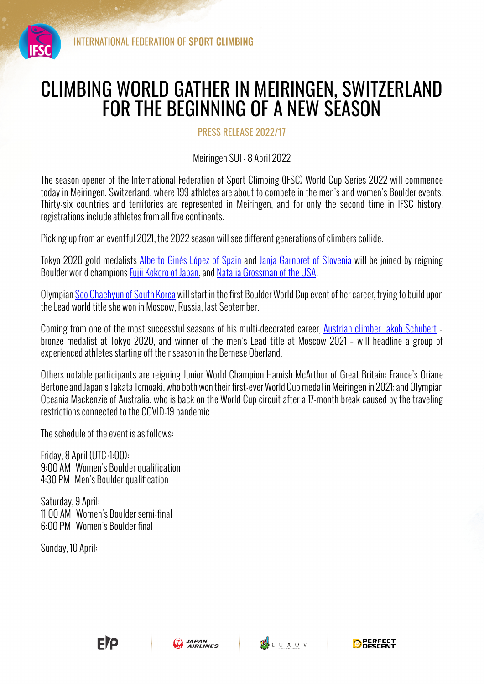

## CLIMBING WORLD GATHER IN MEIRINGEN, SWITZERLAND FOR THE BEGINNING OF A NEW SEASON

PRESS RELEASE 2022/17

Meiringen SUI - 8 April 2022

The season opener of the International Federation of Sport Climbing (IFSC) World Cup Series 2022 will commence today in Meiringen, Switzerland, where 199 athletes are about to compete in the men's and women's Boulder events. Thirty-six countries and territories are represented in Meiringen, and for only the second time in IFSC history, registrations include athletes from all five continents.

Picking up from an eventful 2021, the 2022 season will see different generations of climbers collide.

Tokyo 2020 gold medalists Alberto Ginés López of Spain and Janja Garnbret of Slovenia will be joined by reigning Boulder world champions **Fujii Kokoro of Japan, and Natalia Grossman of the USA**.

Olympian Seo Chaehyun of South Korea will start in the first Boulder World Cup event of her career, trying to build upon the Lead world title she won in Moscow, Russia, last September.

Coming from one of the most successful seasons of his multi-decorated career, Austrian climber Jakob Schubert – bronze medalist at Tokyo 2020, and winner of the men's Lead title at Moscow 2021 – will headline a group of experienced athletes starting off their season in the Bernese Oberland.

Others notable participants are reigning Junior World Champion Hamish McArthur of Great Britain; France's Oriane Bertone and Japan's Takata Tomoaki, who both won their first-ever World Cup medal in Meiringen in 2021; and Olympian Oceania Mackenzie of Australia, who is back on the World Cup circuit after a 17-month break caused by the traveling restrictions connected to the COVID-19 pandemic.

The schedule of the event is as follows:

Friday, 8 April (UTC+1:00): 9:00 AM Women's Boulder qualification 4:30 PM Men's Boulder qualification

Saturday, 9 April: 11:00 AM Women's Boulder semi-final 6:00 PM Women's Boulder final

Sunday, 10 April: